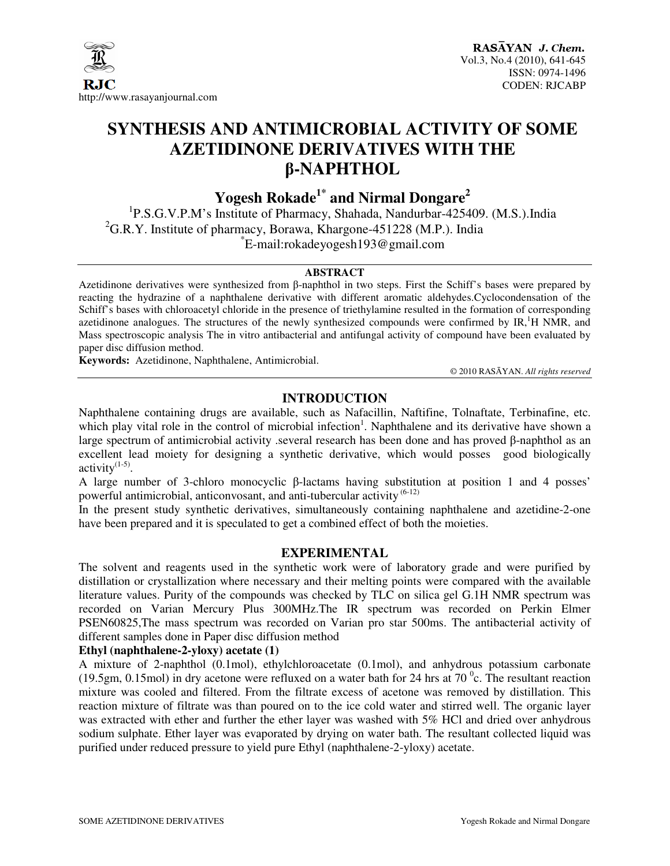

# **SYNTHESIS AND ANTIMICROBIAL ACTIVITY OF SOME AZETIDINONE DERIVATIVES WITH THE**  β**-NAPHTHOL**

**Yogesh Rokade1\* and Nirmal Dongare<sup>2</sup>**

<sup>1</sup>P.S.G.V.P.M's Institute of Pharmacy, Shahada, Nandurbar-425409. (M.S.).India  ${}^{2}$ G.R.Y. Institute of pharmacy, Borawa, Khargone-451228 (M.P.). India \* E-mail:rokadeyogesh193@gmail.com

#### **ABSTRACT**

Azetidinone derivatives were synthesized from β-naphthol in two steps. First the Schiff's bases were prepared by reacting the hydrazine of a naphthalene derivative with different aromatic aldehydes.Cyclocondensation of the Schiff's bases with chloroacetyl chloride in the presence of triethylamine resulted in the formation of corresponding azetidinone analogues. The structures of the newly synthesized compounds were confirmed by  $IR<sup>1</sup>$  H NMR, and Mass spectroscopic analysis The in vitro antibacterial and antifungal activity of compound have been evaluated by paper disc diffusion method.

**Keywords:** Azetidinone, Naphthalene, Antimicrobial.

© 2010 RASĀYAN. *All rights reserved*

# **INTRODUCTION**

Naphthalene containing drugs are available, such as Nafacillin, Naftifine, Tolnaftate, Terbinafine, etc. which play vital role in the control of microbial infection<sup>1</sup>. Naphthalene and its derivative have shown a large spectrum of antimicrobial activity .several research has been done and has proved β-naphthol as an excellent lead moiety for designing a synthetic derivative, which would posses good biologically activity $(1-5)$ .

A large number of 3-chloro monocyclic β-lactams having substitution at position 1 and 4 posses' powerful antimicrobial, anticonvosant, and anti-tubercular activity  $(6-12)$ 

In the present study synthetic derivatives, simultaneously containing naphthalene and azetidine-2-one have been prepared and it is speculated to get a combined effect of both the moieties.

#### **EXPERIMENTAL**

The solvent and reagents used in the synthetic work were of laboratory grade and were purified by distillation or crystallization where necessary and their melting points were compared with the available literature values. Purity of the compounds was checked by TLC on silica gel G.1H NMR spectrum was recorded on Varian Mercury Plus 300MHz.The IR spectrum was recorded on Perkin Elmer PSEN60825,The mass spectrum was recorded on Varian pro star 500ms. The antibacterial activity of different samples done in Paper disc diffusion method

#### **Ethyl (naphthalene-2-yloxy) acetate (1)**

A mixture of 2-naphthol (0.1mol), ethylchloroacetate (0.1mol), and anhydrous potassium carbonate (19.5gm, 0.15mol) in dry acetone were refluxed on a water bath for 24 hrs at 70 $\degree$ c. The resultant reaction mixture was cooled and filtered. From the filtrate excess of acetone was removed by distillation. This reaction mixture of filtrate was than poured on to the ice cold water and stirred well. The organic layer was extracted with ether and further the ether layer was washed with 5% HCl and dried over anhydrous sodium sulphate. Ether layer was evaporated by drying on water bath. The resultant collected liquid was purified under reduced pressure to yield pure Ethyl (naphthalene-2-yloxy) acetate.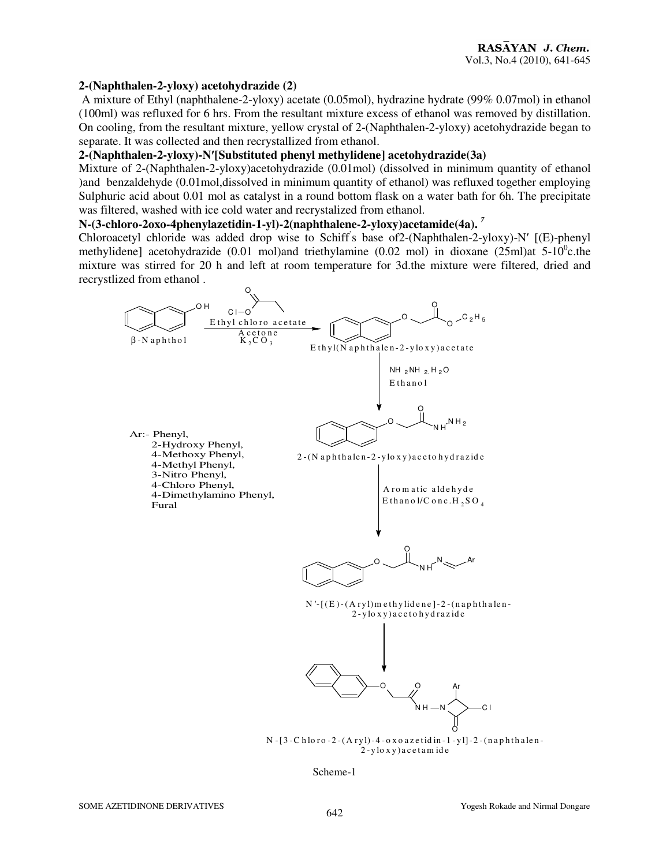#### **2-(Naphthalen-2-yloxy) acetohydrazide (2)**

 A mixture of Ethyl (naphthalene-2-yloxy) acetate (0.05mol), hydrazine hydrate (99% 0.07mol) in ethanol (100ml) was refluxed for 6 hrs. From the resultant mixture excess of ethanol was removed by distillation. On cooling, from the resultant mixture, yellow crystal of 2-(Naphthalen-2-yloxy) acetohydrazide began to separate. It was collected and then recrystallized from ethanol.

#### **2-(Naphthalen-2-yloxy)-N**′**[Substituted phenyl methylidene] acetohydrazide(3a)**

Mixture of 2-(Naphthalen-2-yloxy)acetohydrazide (0.01mol) (dissolved in minimum quantity of ethanol )and benzaldehyde (0.01mol,dissolved in minimum quantity of ethanol) was refluxed together employing Sulphuric acid about 0.01 mol as catalyst in a round bottom flask on a water bath for 6h. The precipitate was filtered, washed with ice cold water and recrystalized from ethanol.

#### **N-(3-chloro-2oxo-4phenylazetidin-1-yl)-2(naphthalene-2-yloxy)acetamide(4a).** *<sup>7</sup>*

Chloroacetyl chloride was added drop wise to Schiff' s base of2-(Naphthalen-2-yloxy)-N′ [(E)-phenyl methylidene] acetohydrazide (0.01 mol)and triethylamine (0.02 mol) in dioxane (25ml)at  $5{\text -}10^{\circ}$ c.the mixture was stirred for 20 h and left at room temperature for 3d.the mixture were filtered, dried and recrystlized from ethanol .



Scheme-1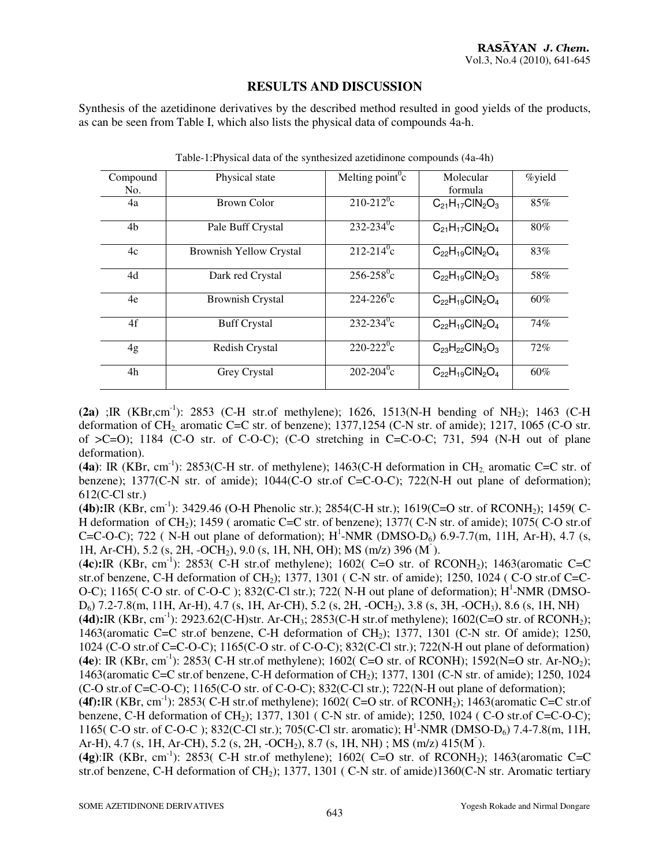## **RESULTS AND DISCUSSION**

Synthesis of the azetidinone derivatives by the described method resulted in good yields of the products, as can be seen from Table I, which also lists the physical data of compounds 4a-h.

| Compound<br>No. | Physical state                 | Melting point $\rm^0c$     | Molecular<br>formula      | %yield |
|-----------------|--------------------------------|----------------------------|---------------------------|--------|
| 4a              | Brown Color                    | $210 - 212$ <sup>o</sup> c | $C_{21}H_{17}CIN_2O_3$    | 85%    |
| 4 <sub>b</sub>  | Pale Buff Crystal              | $232 - 234$ °c             | $C_{21}H_{17}CIN_2O_4$    | 80%    |
| 4c              | <b>Brownish Yellow Crystal</b> | $212 - 214$ <sup>o</sup> c | $C_{22}H_{19}CIN_2O_4$    | 83%    |
| 4d              | Dark red Crystal               | $256 - 258$ °c             | $C_{22}H_{19}CIN_2O_3$    | 58%    |
| 4e              | <b>Brownish Crystal</b>        | $224 - 226$ <sup>o</sup> c | $C_{22}H_{19}CIN_2O_4$    | 60%    |
| 4f              | <b>Buff Crystal</b>            | $232 - 234$ °c             | $C_{22}H_{19}CIN_2O_4$    | 74%    |
| 4g              | Redish Crystal                 | $220 - 222$ <sup>o</sup> c | $C_{23}H_{22}CH_{3}O_{3}$ | 72%    |
| 4h              | Grey Crystal                   | $202 - 204$ °c             | $C_{22}H_{19}CIN_2O_4$    | 60%    |

Table-1:Physical data of the synthesized azetidinone compounds (4a-4h)

 $(2a)$ ; IR (KBr,cm<sup>-1</sup>): 2853 (C-H str.of methylene); 1626, 1513(N-H bending of NH<sub>2</sub>); 1463 (C-H) deformation of  $CH_2$  aromatic C=C str. of benzene); 1377,1254 (C-N str. of amide); 1217, 1065 (C-O str. of  $\geq$ C=O); 1184 (C-O str. of C-O-C); (C-O stretching in C=C-O-C; 731, 594 (N-H out of plane deformation).

(4a): IR (KBr, cm<sup>-1</sup>): 2853(C-H str. of methylene); 1463(C-H deformation in CH<sub>2</sub> aromatic C=C str. of benzene); 1377(C-N str. of amide); 1044(C-O str.of C=C-O-C); 722(N-H out plane of deformation);  $612$ (C-Cl str.)

**(4b):**IR (KBr, cm-1): 3429.46 (O-H Phenolic str.); 2854(C-H str.); 1619(C=O str. of RCONH2); 1459( C-H deformation of CH<sub>2</sub>); 1459 ( aromatic C=C str. of benzene); 1377( C-N str. of amide); 1075( C-O str.of C=C-O-C); 722 ( N-H out plane of deformation);  $H^1$ -NMR (DMSO-D<sub>6</sub>) 6.9-7.7(m, 11H, Ar-H), 4.7 (s, 1H, Ar-CH), 5.2 (s, 2H, -OCH2), 9.0 (s, 1H, NH, OH); MS (m/z) 396 (M¯ ).

(**4c):**IR (KBr, cm<sup>-1</sup>): 2853( C-H str.of methylene); 1602( C=O str. of RCONH<sub>2</sub>); 1463(aromatic C=C str.of benzene, C-H deformation of CH<sub>2</sub>); 1377, 1301 (C-N str. of amide); 1250, 1024 (C-O str.of C=C-O-C); 1165( C-O str. of C-O-C); 832(C-Cl str.); 722( N-H out plane of deformation);  $H^1$ -NMR (DMSO-D6) 7.2-7.8(m, 11H, Ar-H), 4.7 (s, 1H, Ar-CH), 5.2 (s, 2H, -OCH2), 3.8 (s, 3H, -OCH3), 8.6 (s, 1H, NH)

**(4d):**IR (KBr, cm-1): 2923.62(C-H)str. Ar-CH3; 2853(C-H str.of methylene); 1602(C=O str. of RCONH2); 1463(aromatic C=C str.of benzene, C-H deformation of CH2); 1377, 1301 (C-N str. Of amide); 1250, 1024 (C-O str.of C=C-O-C); 1165(C-O str. of C-O-C); 832(C-Cl str.); 722(N-H out plane of deformation) **(4e)**: IR (KBr, cm<sup>-1</sup>): 2853( C-H str.of methylene); 1602( C=O str. of RCONH); 1592(N=O str. Ar-NO<sub>2</sub>); 1463(aromatic C=C str.of benzene, C-H deformation of CH<sub>2</sub>); 1377, 1301 (C-N str. of amide); 1250, 1024 (C-O str.of C=C-O-C); 1165(C-O str. of C-O-C); 832(C-Cl str.); 722(N-H out plane of deformation);

 $(4\text{f}):IR (KBr, cm^{-1})$ : 2853( C-H str.of methylene); 1602( C=O str. of RCONH<sub>2</sub>); 1463(aromatic C=C str.of benzene, C-H deformation of CH<sub>2</sub>); 1377, 1301 ( C-N str. of amide); 1250, 1024 ( C-O str.of C=C-O-C); 1165( C-O str. of C-O-C ); 832(C-Cl str.); 705(C-Cl str. aromatic); H<sup>1</sup>-NMR (DMSO-D<sub>6</sub>) 7.4-7.8(m, 11H, Ar-H), 4.7 (s, 1H, Ar-CH), 5.2 (s, 2H, -OCH<sub>2</sub>), 8.7 (s, 1H, NH); MS (m/z) 415(M<sup>-</sup>).

 $(4g)$ :IR (KBr, cm<sup>-1</sup>): 2853( C-H str.of methylene); 1602( C=O str. of RCONH<sub>2</sub>); 1463(aromatic C=C str.of benzene, C-H deformation of CH<sub>2</sub>); 1377, 1301 (C-N str. of amide)1360(C-N str. Aromatic tertiary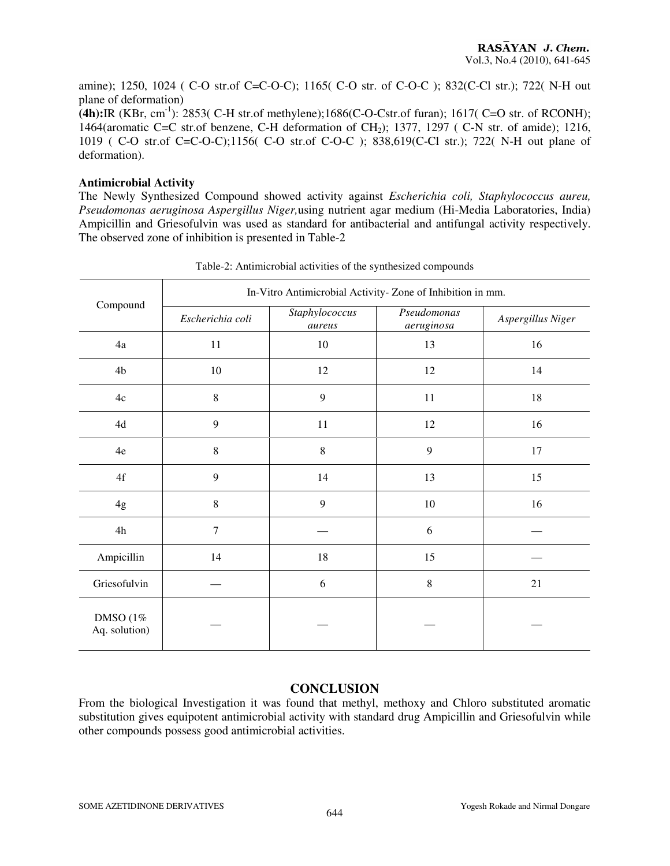amine); 1250, 1024 ( C-O str.of C=C-O-C); 1165( C-O str. of C-O-C ); 832(C-Cl str.); 722( N-H out plane of deformation)

**(4h):**IR (KBr, cm-1): 2853( C-H str.of methylene);1686(C-O-Cstr.of furan); 1617( C=O str. of RCONH); 1464(aromatic C=C str.of benzene, C-H deformation of CH<sub>2</sub>); 1377, 1297 (C-N str. of amide); 1216, 1019 ( C-O str.of C=C-O-C);1156( C-O str.of C-O-C ); 838,619(C-Cl str.); 722( N-H out plane of deformation).

#### **Antimicrobial Activity**

The Newly Synthesized Compound showed activity against *Escherichia coli, Staphylococcus aureu, Pseudomonas aeruginosa Aspergillus Niger,*using nutrient agar medium (Hi-Media Laboratories, India) Ampicillin and Griesofulvin was used as standard for antibacterial and antifungal activity respectively. The observed zone of inhibition is presented in Table-2

|                                   | In-Vitro Antimicrobial Activity-Zone of Inhibition in mm. |                          |                           |                   |  |
|-----------------------------------|-----------------------------------------------------------|--------------------------|---------------------------|-------------------|--|
| Compound                          | Escherichia coli                                          | Staphylococcus<br>aureus | Pseudomonas<br>aeruginosa | Aspergillus Niger |  |
| 4a                                | 11                                                        | 10                       | 13                        | 16                |  |
| 4 <sub>b</sub>                    | $10\,$                                                    | $12\,$                   | 12                        | 14                |  |
| $4\mathrm{c}$                     | $\,8\,$                                                   | 9                        | $11\,$                    | 18                |  |
| 4d                                | 9                                                         | 11                       | 12                        | 16                |  |
| 4e                                | $\,8\,$                                                   | $\,8\,$                  | 9                         | $17\,$            |  |
| $4\mathrm{f}$                     | 9                                                         | 14                       | 13                        | 15                |  |
| 4g                                | $\,8\,$                                                   | 9                        | $10\,$                    | 16                |  |
| 4h                                | $\overline{7}$                                            |                          | 6                         |                   |  |
| Ampicillin                        | 14                                                        | 18                       | 15                        |                   |  |
| Griesofulvin                      |                                                           | 6                        | $\,8\,$                   | 21                |  |
| <b>DMSO</b> (1%)<br>Aq. solution) |                                                           |                          |                           |                   |  |

Table-2: Antimicrobial activities of the synthesized compounds

## **CONCLUSION**

From the biological Investigation it was found that methyl, methoxy and Chloro substituted aromatic substitution gives equipotent antimicrobial activity with standard drug Ampicillin and Griesofulvin while other compounds possess good antimicrobial activities.